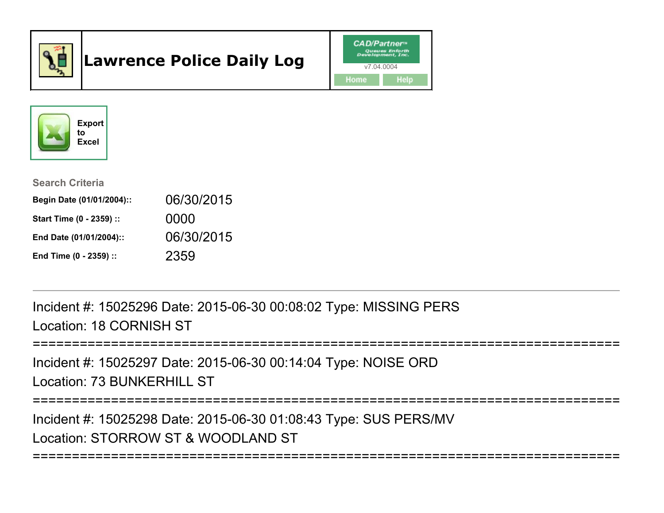

# Lawrence Police Daily Log





Search Criteria

| Begin Date (01/01/2004):: | 06/30/2015 |
|---------------------------|------------|
| Start Time (0 - 2359) ::  | 0000       |
| End Date (01/01/2004)::   | 06/30/2015 |
| End Time (0 - 2359) ::    | 2359       |

Incident #: 15025296 Date: 2015-06-30 00:08:02 Type: MISSING PERSLocation: 18 CORNISH ST

```
===========================================================================
```
Incident #: 15025297 Date: 2015-06-30 00:14:04 Type: NOISE ORDLocation: 73 BUNKERHILL ST

===========================================================================

===========================================================================

Incident #: 15025298 Date: 2015-06-30 01:08:43 Type: SUS PERS/MVLocation: STORROW ST & WOODLAND ST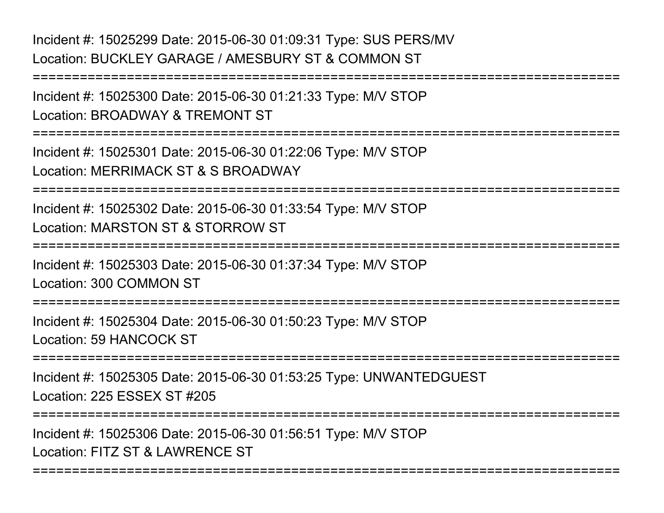Incident #: 15025299 Date: 2015-06-30 01:09:31 Type: SUS PERS/MVLocation: BUCKLEY GARAGE / AMESBURY ST & COMMON ST

===========================================================================Incident #: 15025300 Date: 2015-06-30 01:21:33 Type: M/V STOPLocation: BROADWAY & TREMONT ST===========================================================================Incident #: 15025301 Date: 2015-06-30 01:22:06 Type: M/V STOPLocation: MERRIMACK ST & S BROADWAY===========================================================================Incident #: 15025302 Date: 2015-06-30 01:33:54 Type: M/V STOPLocation: MARSTON ST & STORROW ST===========================================================================Incident #: 15025303 Date: 2015-06-30 01:37:34 Type: M/V STOPLocation: 300 COMMON ST===========================================================================Incident #: 15025304 Date: 2015-06-30 01:50:23 Type: M/V STOPLocation: 59 HANCOCK ST===========================================================================Incident #: 15025305 Date: 2015-06-30 01:53:25 Type: UNWANTEDGUESTLocation: 225 ESSEX ST #205===========================================================================Incident #: 15025306 Date: 2015-06-30 01:56:51 Type: M/V STOPLocation: FITZ ST & LAWRENCE ST

===========================================================================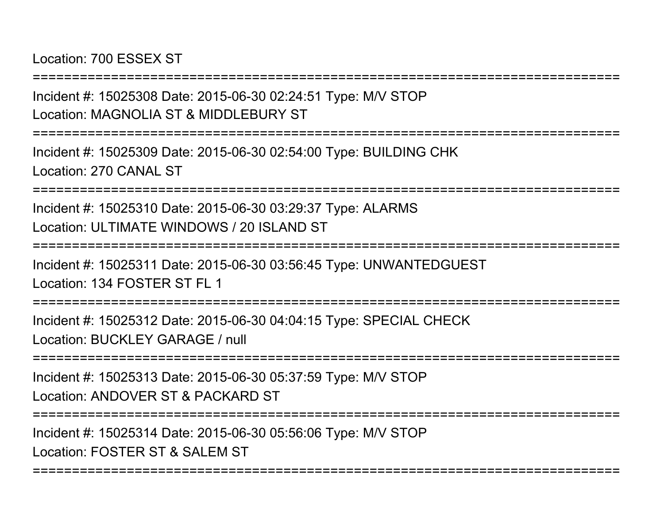Location: 700 ESSEX ST

Incident #: 15025308 Date: 2015-06-30 02:24:51 Type: M/V STOPLocation: MAGNOLIA ST & MIDDLEBURY ST

===========================================================================

===========================================================================

Incident #: 15025309 Date: 2015-06-30 02:54:00 Type: BUILDING CHKLocation: 270 CANAL ST

===========================================================================

Incident #: 15025310 Date: 2015-06-30 03:29:37 Type: ALARMSLocation: ULTIMATE WINDOWS / 20 ISLAND ST

===========================================================================

Incident #: 15025311 Date: 2015-06-30 03:56:45 Type: UNWANTEDGUESTLocation: 134 FOSTER ST FL 1

===========================================================================

Incident #: 15025312 Date: 2015-06-30 04:04:15 Type: SPECIAL CHECKLocation: BUCKLEY GARAGE / null

===========================================================================

Incident #: 15025313 Date: 2015-06-30 05:37:59 Type: M/V STOPLocation: ANDOVER ST & PACKARD ST

===========================================================================

===========================================================================

Incident #: 15025314 Date: 2015-06-30 05:56:06 Type: M/V STOP

Location: FOSTER ST & SALEM ST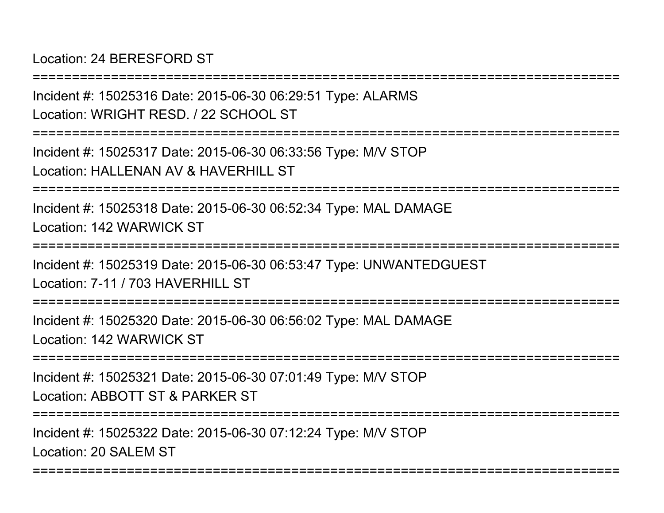Location: 24 BERESFORD ST

===========================================================================Incident #: 15025316 Date: 2015-06-30 06:29:51 Type: ALARMSLocation: WRIGHT RESD. / 22 SCHOOL ST===========================================================================Incident #: 15025317 Date: 2015-06-30 06:33:56 Type: M/V STOPLocation: HALLENAN AV & HAVERHILL ST ===========================================================================Incident #: 15025318 Date: 2015-06-30 06:52:34 Type: MAL DAMAGELocation: 142 WARWICK ST===========================================================================Incident #: 15025319 Date: 2015-06-30 06:53:47 Type: UNWANTEDGUESTLocation: 7-11 / 703 HAVERHILL ST===========================================================================Incident #: 15025320 Date: 2015-06-30 06:56:02 Type: MAL DAMAGELocation: 142 WARWICK ST===========================================================================Incident #: 15025321 Date: 2015-06-30 07:01:49 Type: M/V STOPLocation: ABBOTT ST & PARKER ST===========================================================================Incident #: 15025322 Date: 2015-06-30 07:12:24 Type: M/V STOPLocation: 20 SALEM ST

===========================================================================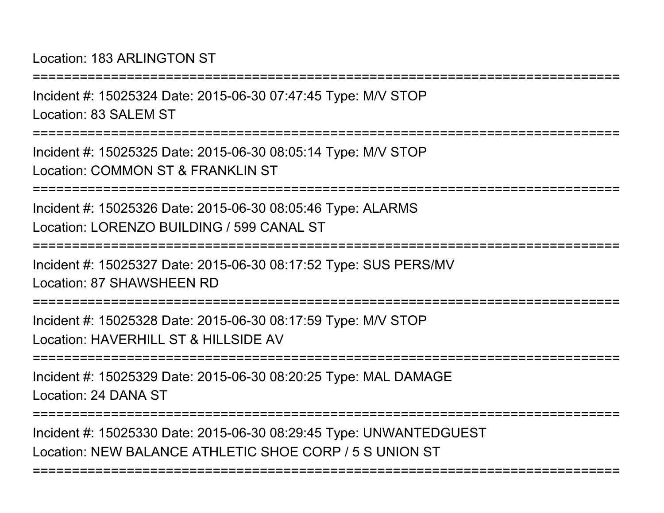Location: 183 ARLINGTON ST

Incident #: 15025324 Date: 2015-06-30 07:47:45 Type: M/V STOPLocation: 83 SALEM ST

===========================================================================

===========================================================================

Incident #: 15025325 Date: 2015-06-30 08:05:14 Type: M/V STOPLocation: COMMON ST & FRANKLIN ST

===========================================================================

Incident #: 15025326 Date: 2015-06-30 08:05:46 Type: ALARMSLocation: LORENZO BUILDING / 599 CANAL ST

===========================================================================

Incident #: 15025327 Date: 2015-06-30 08:17:52 Type: SUS PERS/MVLocation: 87 SHAWSHEEN RD

===========================================================================

Incident #: 15025328 Date: 2015-06-30 08:17:59 Type: M/V STOPLocation: HAVERHILL ST & HILLSIDE AV

===========================================================================

Incident #: 15025329 Date: 2015-06-30 08:20:25 Type: MAL DAMAGELocation: 24 DANA ST

===========================================================================

===========================================================================

Incident #: 15025330 Date: 2015-06-30 08:29:45 Type: UNWANTEDGUESTLocation: NEW BALANCE ATHLETIC SHOE CORP / 5 S UNION ST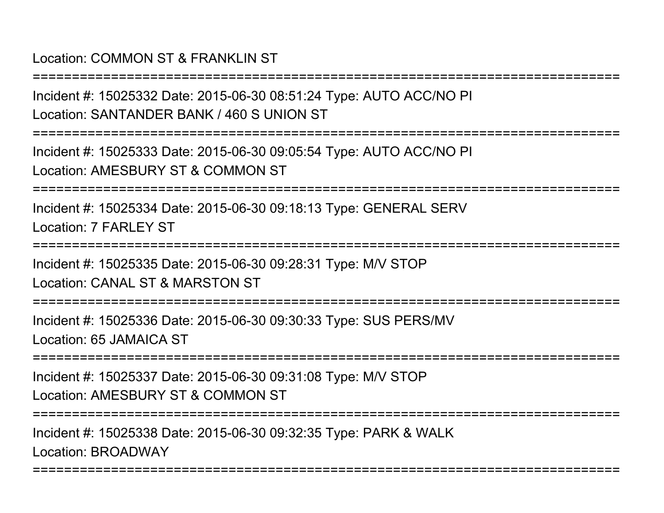## Location: COMMON ST & FRANKLIN ST

Incident #: 15025332 Date: 2015-06-30 08:51:24 Type: AUTO ACC/NO PILocation: SANTANDER BANK / 460 S UNION ST

===========================================================================

===========================================================================

Incident #: 15025333 Date: 2015-06-30 09:05:54 Type: AUTO ACC/NO PILocation: AMESBURY ST & COMMON ST

===========================================================================

Incident #: 15025334 Date: 2015-06-30 09:18:13 Type: GENERAL SERVLocation: 7 FARL FY ST

===========================================================================

Incident #: 15025335 Date: 2015-06-30 09:28:31 Type: M/V STOP

Location: CANAL ST & MARSTON ST

===========================================================================

Incident #: 15025336 Date: 2015-06-30 09:30:33 Type: SUS PERS/MVLocation: 65 JAMAICA ST

===========================================================================

Incident #: 15025337 Date: 2015-06-30 09:31:08 Type: M/V STOPLocation: AMESBURY ST & COMMON ST

===========================================================================

===========================================================================

Incident #: 15025338 Date: 2015-06-30 09:32:35 Type: PARK & WALKLocation: BROADWAY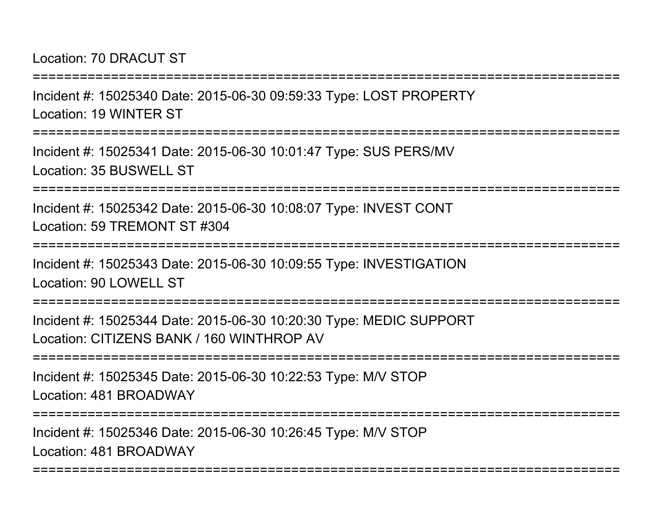#### Location: 70 DRACUT ST

Incident #: 15025340 Date: 2015-06-30 09:59:33 Type: LOST PROPERTYLocation: 19 WINTER ST===========================================================================

Incident #: 15025341 Date: 2015-06-30 10:01:47 Type: SUS PERS/MVLocation: 35 BUSWELL ST

===========================================================================

===========================================================================

Incident #: 15025342 Date: 2015-06-30 10:08:07 Type: INVEST CONTLocation: 59 TREMONT ST #304

**==============** 

Incident #: 15025343 Date: 2015-06-30 10:09:55 Type: INVESTIGATIONLocation: 90 LOWELL ST

===========================================================================

Incident #: 15025344 Date: 2015-06-30 10:20:30 Type: MEDIC SUPPORTLocation: CITIZENS BANK / 160 WINTHROP AV

===========================================================================

Incident #: 15025345 Date: 2015-06-30 10:22:53 Type: M/V STOPLocation: 481 BROADWAY

===========================================================================

===========================================================================

Incident #: 15025346 Date: 2015-06-30 10:26:45 Type: M/V STOPLocation: 481 BROADWAY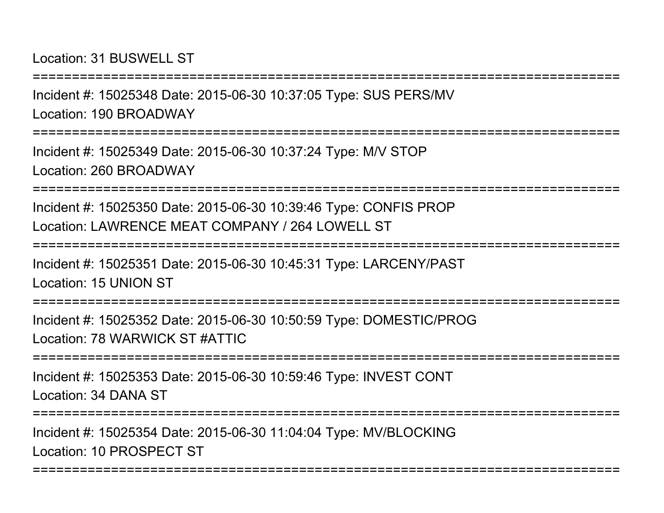Location: 31 BUSWELL ST

Incident #: 15025348 Date: 2015-06-30 10:37:05 Type: SUS PERS/MVLocation: 190 BROADWAY

===========================================================================

===========================================================================

Incident #: 15025349 Date: 2015-06-30 10:37:24 Type: M/V STOPLocation: 260 BROADWAY

===========================================================================

Incident #: 15025350 Date: 2015-06-30 10:39:46 Type: CONFIS PROPLocation: LAWRENCE MEAT COMPANY / 264 LOWELL ST

=============

Incident #: 15025351 Date: 2015-06-30 10:45:31 Type: LARCENY/PASTLocation: 15 UNION ST

===========================================================================

Incident #: 15025352 Date: 2015-06-30 10:50:59 Type: DOMESTIC/PROGLocation: 78 WARWICK ST #ATTIC

===========================================================================

Incident #: 15025353 Date: 2015-06-30 10:59:46 Type: INVEST CONTLocation: 34 DANA ST

===========================================================================

===========================================================================

Incident #: 15025354 Date: 2015-06-30 11:04:04 Type: MV/BLOCKINGLocation: 10 PROSPECT ST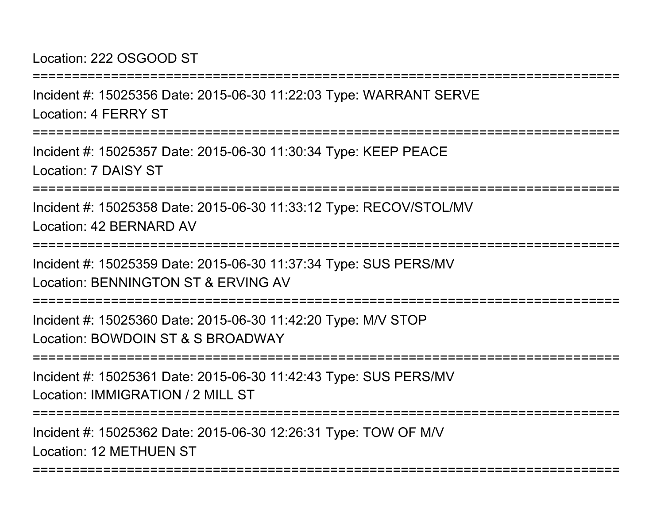Location: 222 OSGOOD ST

Incident #: 15025356 Date: 2015-06-30 11:22:03 Type: WARRANT SERVELocation: 4 FERRY ST

===========================================================================

===========================================================================

Incident #: 15025357 Date: 2015-06-30 11:30:34 Type: KEEP PEACELocation: 7 DAISY ST

===========================================================================

Incident #: 15025358 Date: 2015-06-30 11:33:12 Type: RECOV/STOL/MVLocation: 42 BERNARD AV

===========================================================================

Incident #: 15025359 Date: 2015-06-30 11:37:34 Type: SUS PERS/MVLocation: BENNINGTON ST & ERVING AV

===========================================================================

Incident #: 15025360 Date: 2015-06-30 11:42:20 Type: M/V STOPLocation: BOWDOIN ST & S BROADWAY

===========================================================================

Incident #: 15025361 Date: 2015-06-30 11:42:43 Type: SUS PERS/MVLocation: IMMIGRATION / 2 MILL ST

===========================================================================

===========================================================================

Incident #: 15025362 Date: 2015-06-30 12:26:31 Type: TOW OF M/VLocation: 12 METHUEN ST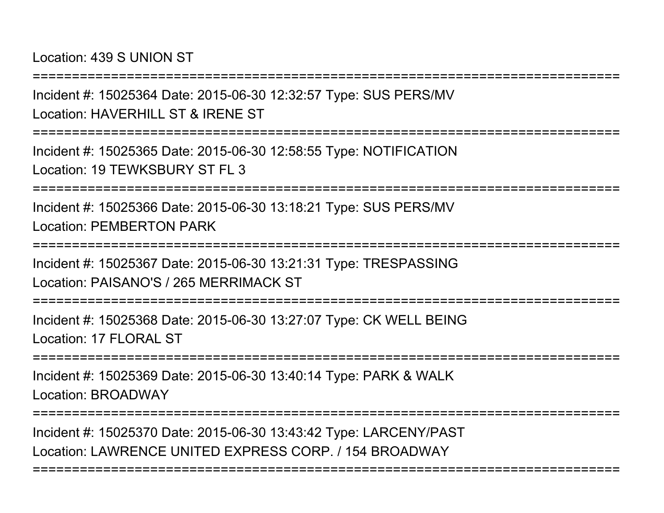Location: 439 S UNION ST

===========================================================================

Incident #: 15025364 Date: 2015-06-30 12:32:57 Type: SUS PERS/MVLocation: HAVERHILL ST & IRENE ST

===========================================================================

Incident #: 15025365 Date: 2015-06-30 12:58:55 Type: NOTIFICATIONLocation: 19 TEWKSBURY ST FL 3

===========================================================================

Incident #: 15025366 Date: 2015-06-30 13:18:21 Type: SUS PERS/MVLocation: PEMBERTON PARK

===========================================================================

Incident #: 15025367 Date: 2015-06-30 13:21:31 Type: TRESPASSINGLocation: PAISANO'S / 265 MERRIMACK ST

===========================================================================

Incident #: 15025368 Date: 2015-06-30 13:27:07 Type: CK WELL BEINGLocation: 17 FLORAL ST

===========================================================================

Incident #: 15025369 Date: 2015-06-30 13:40:14 Type: PARK & WALKLocation: BROADWAY

===========================================================================

===========================================================================

Incident #: 15025370 Date: 2015-06-30 13:43:42 Type: LARCENY/PASTLocation: LAWRENCE UNITED EXPRESS CORP. / 154 BROADWAY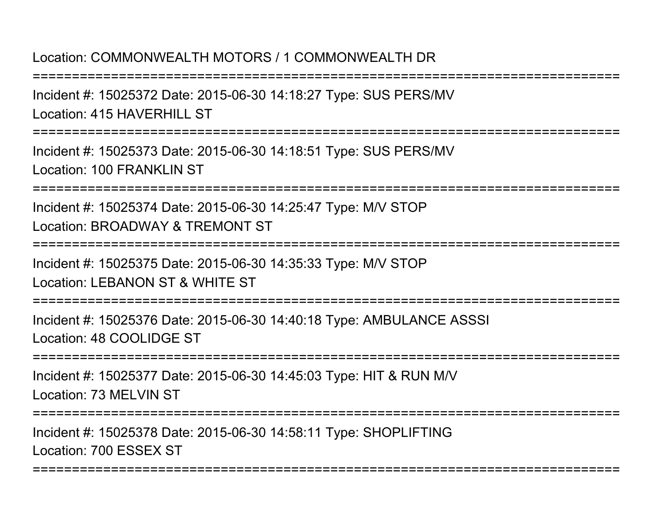#### Location: COMMONWEALTH MOTORS / 1 COMMONWEALTH DR

===========================================================================

Incident #: 15025372 Date: 2015-06-30 14:18:27 Type: SUS PERS/MVLocation: 415 HAVERHILL ST

===========================================================================

Incident #: 15025373 Date: 2015-06-30 14:18:51 Type: SUS PERS/MVLocation: 100 FRANKLIN ST

===========================================================================

Incident #: 15025374 Date: 2015-06-30 14:25:47 Type: M/V STOPLocation: BROADWAY & TREMONT ST

===========================================================================

Incident #: 15025375 Date: 2015-06-30 14:35:33 Type: M/V STOPLocation: LEBANON ST & WHITE ST

===========================================================================

Incident #: 15025376 Date: 2015-06-30 14:40:18 Type: AMBULANCE ASSSILocation: 48 COOLIDGE ST

**================** 

Incident #: 15025377 Date: 2015-06-30 14:45:03 Type: HIT & RUN M/VLocation: 73 MELVIN ST

===========================================================================

===========================================================================

Incident #: 15025378 Date: 2015-06-30 14:58:11 Type: SHOPLIFTINGLocation: 700 ESSEX ST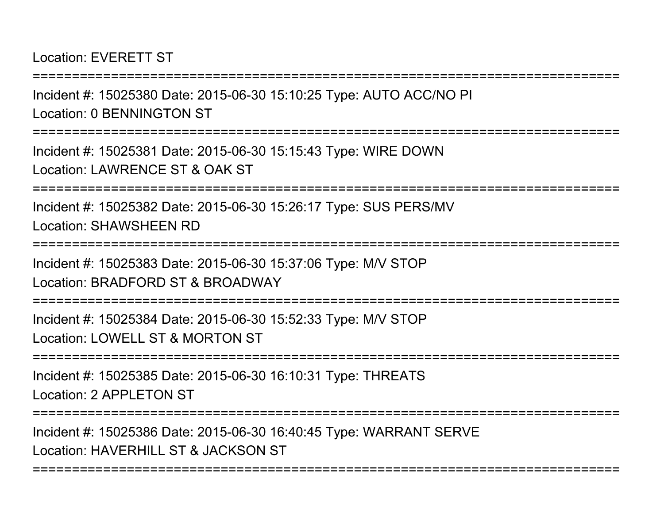Location: EVERETT ST

Incident #: 15025380 Date: 2015-06-30 15:10:25 Type: AUTO ACC/NO PILocation: 0 BENNINGTON ST

===========================================================================

===========================================================================

Incident #: 15025381 Date: 2015-06-30 15:15:43 Type: WIRE DOWNLocation: LAWRENCE ST & OAK ST

===========================================================================

Incident #: 15025382 Date: 2015-06-30 15:26:17 Type: SUS PERS/MVLocation: SHAWSHEEN RD

===========================================================================

Incident #: 15025383 Date: 2015-06-30 15:37:06 Type: M/V STOPLocation: BRADFORD ST & BROADWAY

===========================================================================

Incident #: 15025384 Date: 2015-06-30 15:52:33 Type: M/V STOPLocation: LOWELL ST & MORTON ST

===========================================================================

Incident #: 15025385 Date: 2015-06-30 16:10:31 Type: THREATSLocation: 2 APPLETON ST

===========================================================================

===========================================================================

Incident #: 15025386 Date: 2015-06-30 16:40:45 Type: WARRANT SERVELocation: HAVERHILL ST & JACKSON ST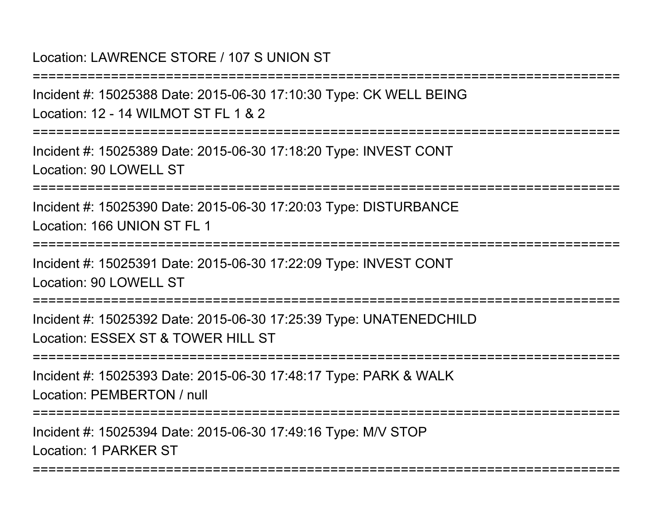#### Location: LAWRENCE STORE / 107 S UNION ST

===========================================================================

Incident #: 15025388 Date: 2015-06-30 17:10:30 Type: CK WELL BEINGLocation: 12 - 14 WILMOT ST FL 1 & 2

===========================================================================

Incident #: 15025389 Date: 2015-06-30 17:18:20 Type: INVEST CONTLocation: 90 LOWELL ST

===========================================================================

Incident #: 15025390 Date: 2015-06-30 17:20:03 Type: DISTURBANCELocation: 166 UNION ST FL 1

===========================================================================

Incident #: 15025391 Date: 2015-06-30 17:22:09 Type: INVEST CONTLocation: 90 LOWELL ST

===========================================================================

Incident #: 15025392 Date: 2015-06-30 17:25:39 Type: UNATENEDCHILDLocation: ESSEX ST & TOWER HILL ST

===========================================================================

Incident #: 15025393 Date: 2015-06-30 17:48:17 Type: PARK & WALKLocation: PEMBERTON / null

===========================================================================

===========================================================================

Incident #: 15025394 Date: 2015-06-30 17:49:16 Type: M/V STOPLocation: 1 PARKER ST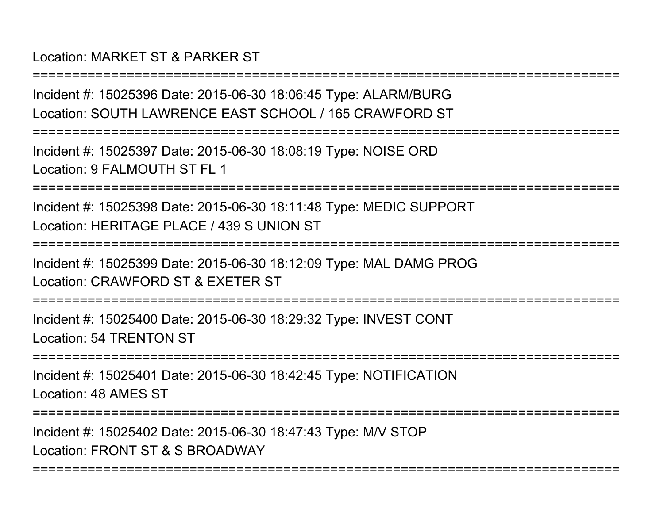## Location: MARKET ST & PARKER ST

Incident #: 15025396 Date: 2015-06-30 18:06:45 Type: ALARM/BURGLocation: SOUTH LAWRENCE EAST SCHOOL / 165 CRAWFORD ST

===========================================================================

===========================================================================

Incident #: 15025397 Date: 2015-06-30 18:08:19 Type: NOISE ORDLocation: 9 FALMOUTH ST FL 1

===========================================================================

Incident #: 15025398 Date: 2015-06-30 18:11:48 Type: MEDIC SUPPORTLocation: HERITAGE PLACE / 439 S UNION ST

===========================================================================

Incident #: 15025399 Date: 2015-06-30 18:12:09 Type: MAL DAMG PROGLocation: CRAWFORD ST & EXETER ST

===========================================================================

Incident #: 15025400 Date: 2015-06-30 18:29:32 Type: INVEST CONTLocation: 54 TRENTON ST

===========================================================================

Incident #: 15025401 Date: 2015-06-30 18:42:45 Type: NOTIFICATIONLocation: 48 AMES ST

===========================================================================

===========================================================================

Incident #: 15025402 Date: 2015-06-30 18:47:43 Type: M/V STOPLocation: FRONT ST & S BROADWAY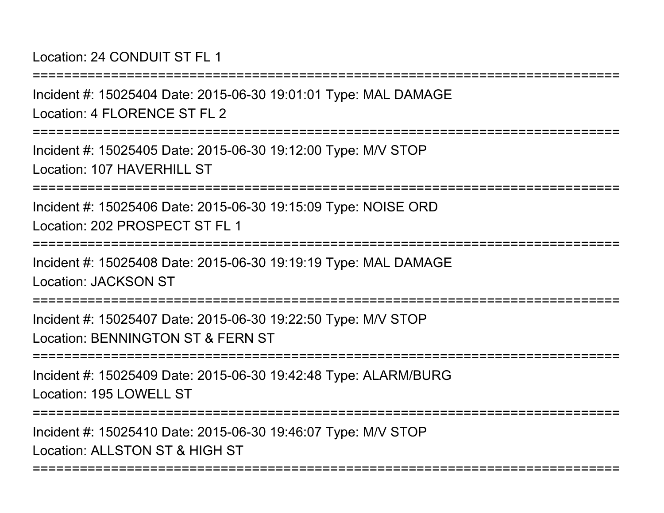Location: 24 CONDUIT ST FL 1

Incident #: 15025404 Date: 2015-06-30 19:01:01 Type: MAL DAMAGELocation: 4 FLORENCE ST FL 2

===========================================================================

===========================================================================

Incident #: 15025405 Date: 2015-06-30 19:12:00 Type: M/V STOPLocation: 107 HAVERHILL ST

===========================================================================

Incident #: 15025406 Date: 2015-06-30 19:15:09 Type: NOISE ORDLocation: 202 PROSPECT ST FL 1

===========================================================================

Incident #: 15025408 Date: 2015-06-30 19:19:19 Type: MAL DAMAGELocation: JACKSON ST

===========================================================================

Incident #: 15025407 Date: 2015-06-30 19:22:50 Type: M/V STOPLocation: BENNINGTON ST & FERN ST

===========================================================================

Incident #: 15025409 Date: 2015-06-30 19:42:48 Type: ALARM/BURGLocation: 195 LOWELL ST

===========================================================================

Incident #: 15025410 Date: 2015-06-30 19:46:07 Type: M/V STOPLocation: ALLSTON ST & HIGH ST

===========================================================================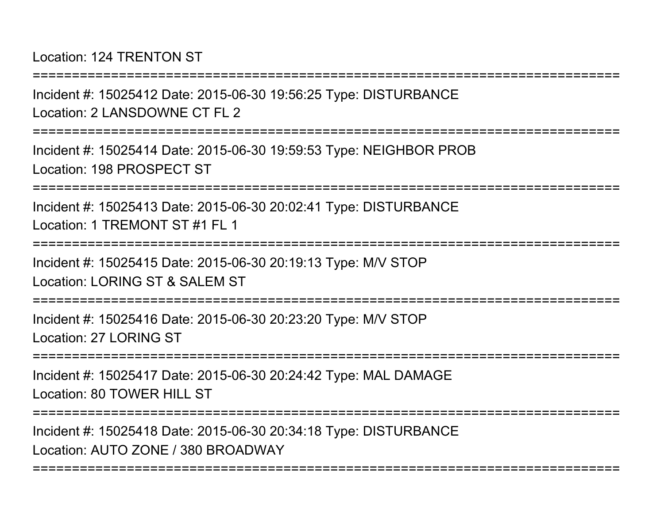Location: 124 TRENTON ST

===========================================================================

Incident #: 15025412 Date: 2015-06-30 19:56:25 Type: DISTURBANCELocation: 2 LANSDOWNE CT FL 2

===========================================================================

Incident #: 15025414 Date: 2015-06-30 19:59:53 Type: NEIGHBOR PROBLocation: 198 PROSPECT ST

===========================================================================

Incident #: 15025413 Date: 2015-06-30 20:02:41 Type: DISTURBANCELocation: 1 TREMONT ST #1 FL 1

===============

Incident #: 15025415 Date: 2015-06-30 20:19:13 Type: M/V STOP

Location: LORING ST & SALEM ST

===========================================================================

Incident #: 15025416 Date: 2015-06-30 20:23:20 Type: M/V STOPLocation: 27 LORING ST

===========================================================================

Incident #: 15025417 Date: 2015-06-30 20:24:42 Type: MAL DAMAGELocation: 80 TOWER HILL ST

===========================================================================

===========================================================================

Incident #: 15025418 Date: 2015-06-30 20:34:18 Type: DISTURBANCELocation: AUTO ZONE / 380 BROADWAY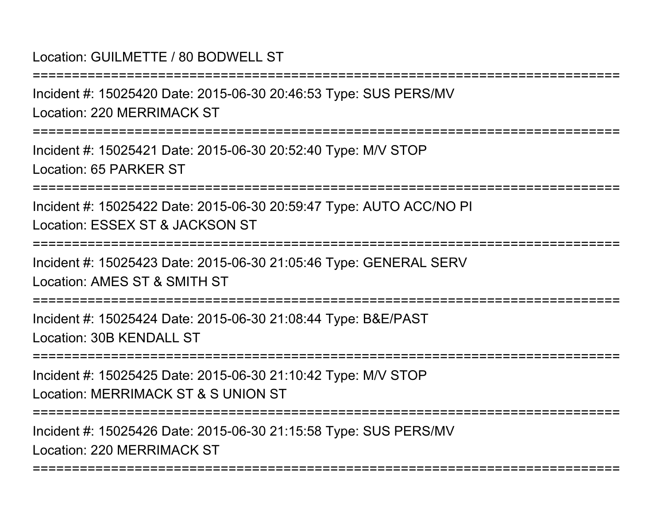## Location: GUILMETTE / 80 BODWELL ST

===========================================================================

Incident #: 15025420 Date: 2015-06-30 20:46:53 Type: SUS PERS/MVLocation: 220 MERRIMACK ST

===========================================================================

Incident #: 15025421 Date: 2015-06-30 20:52:40 Type: M/V STOPLocation: 65 PARKER ST

===========================================================================

Incident #: 15025422 Date: 2015-06-30 20:59:47 Type: AUTO ACC/NO PILocation: ESSEX ST & JACKSON ST

===========================================================================

Incident #: 15025423 Date: 2015-06-30 21:05:46 Type: GENERAL SERVLocation: AMES ST & SMITH ST

===========================================================================

Incident #: 15025424 Date: 2015-06-30 21:08:44 Type: B&E/PASTLocation: 30B KENDALL ST

===========================================================================

Incident #: 15025425 Date: 2015-06-30 21:10:42 Type: M/V STOPLocation: MERRIMACK ST & S UNION ST

===========================================================================

===========================================================================

Incident #: 15025426 Date: 2015-06-30 21:15:58 Type: SUS PERS/MVLocation: 220 MERRIMACK ST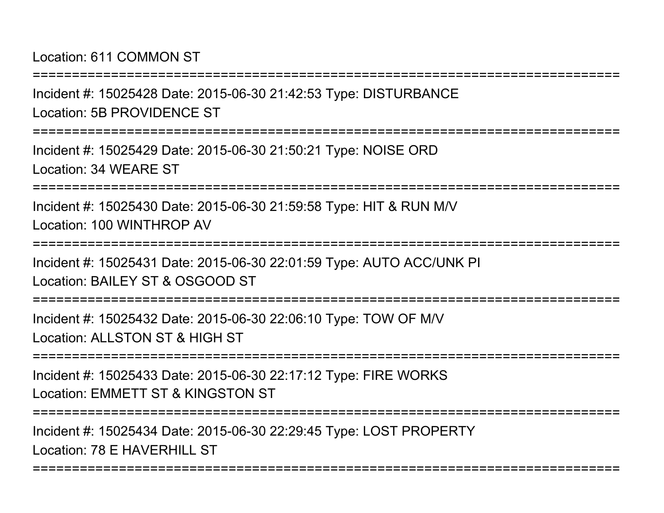Location: 611 COMMON ST

Incident #: 15025428 Date: 2015-06-30 21:42:53 Type: DISTURBANCELocation: 5B PROVIDENCE ST

===========================================================================

===========================================================================

Incident #: 15025429 Date: 2015-06-30 21:50:21 Type: NOISE ORDLocation: 34 WEARE ST

===========================================================================

Incident #: 15025430 Date: 2015-06-30 21:59:58 Type: HIT & RUN M/VLocation: 100 WINTHROP AV

===========================================================================

Incident #: 15025431 Date: 2015-06-30 22:01:59 Type: AUTO ACC/UNK PILocation: BAILEY ST & OSGOOD ST

===========================================================================

Incident #: 15025432 Date: 2015-06-30 22:06:10 Type: TOW OF M/VLocation: ALLSTON ST & HIGH ST

===========================================================================

Incident #: 15025433 Date: 2015-06-30 22:17:12 Type: FIRE WORKSLocation: EMMETT ST & KINGSTON ST

===========================================================================

===========================================================================

Incident #: 15025434 Date: 2015-06-30 22:29:45 Type: LOST PROPERTYLocation: 78 F HAVERHILL ST